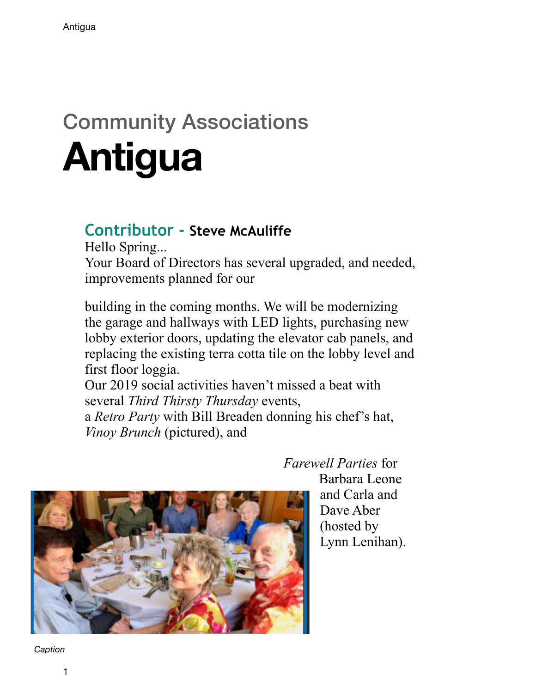## Community Associations **Antigua**

## **Contributor - Steve McAuliffe**

Hello Spring... Your Board of Directors has several upgraded, and needed, improvements planned for our

building in the coming months. We will be modernizing the garage and hallways with LED lights, purchasing new lobby exterior doors, updating the elevator cab panels, and replacing the existing terra cotta tile on the lobby level and first floor loggia.

Our 2019 social activities haven't missed a beat with several *Third Thirsty Thursday* events,

a *Retro Party* with Bill Breaden donning his chef's hat, *Vinoy Brunch* (pictured), and



## *Farewell Parties* for

Barbara Leone and Carla and Dave Aber (hosted by Lynn Lenihan).

*Caption*